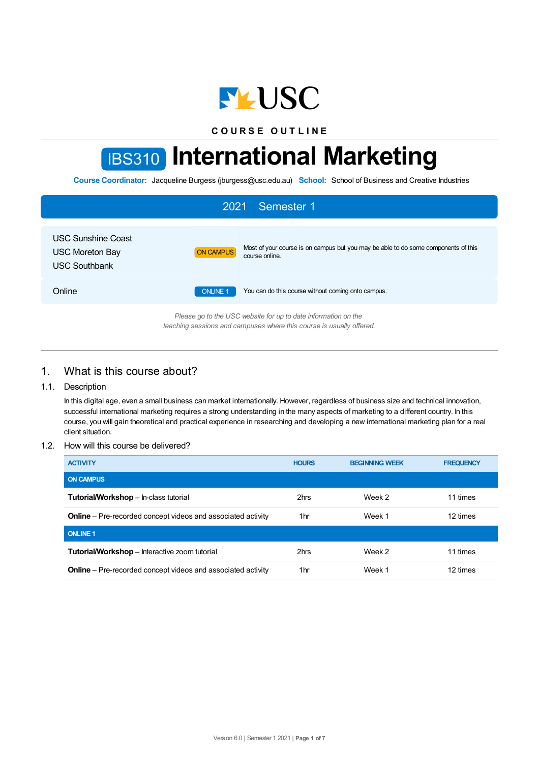

**C O U R S E O U T L I N E**

# IBS310 **International Marketing**

**Course Coordinator:** Jacqueline Burgess (jburgess@usc.edu.au) **School:** School of Business and Creative Industries

| 2021<br>Semester 1                                                                                                                     |                                                                                                                          |  |  |  |
|----------------------------------------------------------------------------------------------------------------------------------------|--------------------------------------------------------------------------------------------------------------------------|--|--|--|
| <b>USC Sunshine Coast</b><br><b>USC Moreton Bay</b><br><b>USC Southbank</b>                                                            | Most of your course is on campus but you may be able to do some components of this<br><b>ON CAMPUS</b><br>course online. |  |  |  |
| Online                                                                                                                                 | <b>ONLINE 1</b><br>You can do this course without coming onto campus.                                                    |  |  |  |
| Please go to the USC website for up to date information on the<br>teaching sessions and campuses where this course is usually offered. |                                                                                                                          |  |  |  |

## 1. What is this course about?

## 1.1. Description

In this digital age, even a small business can market internationally. However, regardless of business size and technical innovation, successful international marketing requires a strong understanding in the many aspects of marketing to a different country. In this course, you will gain theoretical and practical experience in researching and developing a new international marketing plan for a real client situation.

#### 1.2. How will this course be delivered?

| <b>ACTIVITY</b>                                                     | <b>HOURS</b>    | <b>BEGINNING WEEK</b> | <b>FREQUENCY</b> |
|---------------------------------------------------------------------|-----------------|-----------------------|------------------|
| <b>ON CAMPUS</b>                                                    |                 |                       |                  |
| <b>Tutorial/Workshop</b> – In-class tutorial                        | 2hrs            | Week 2                | 11 times         |
| <b>Online</b> – Pre-recorded concept videos and associated activity | 1 <sub>hr</sub> | Week 1                | 12 times         |
| <b>ONLINE 1</b>                                                     |                 |                       |                  |
| Tutorial/Workshop - Interactive zoom tutorial                       | 2hrs            | Week 2                | 11 times         |
| <b>Online</b> – Pre-recorded concept videos and associated activity | 1 <sub>hr</sub> | Week 1                | 12 times         |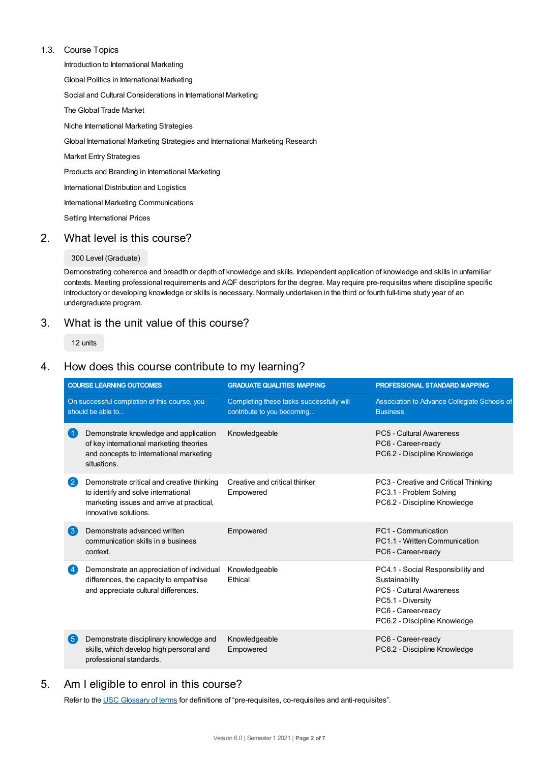## 1.3. Course Topics

Introduction to International Marketing Global Politics in International Marketing Social and Cultural Considerations in International Marketing The Global Trade Market Niche International Marketing Strategies Global International Marketing Strategies and International Marketing Research Market Entry Strategies Products and Branding in International Marketing International Distribution and Logistics International Marketing Communications Setting International Prices

# 2. What level is this course?

## 300 Level (Graduate)

Demonstrating coherence and breadth or depth of knowledge and skills. Independent application of knowledge and skills in unfamiliar contexts. Meeting professional requirements and AQF descriptors for the degree. May require pre-requisites where discipline specific introductory or developing knowledge or skills is necessary. Normally undertaken in the third or fourth full-time study year of an undergraduate program.

# 3. What is the unit value of this course?

12 units

# 4. How does this course contribute to my learning?

|                                                                   | <b>COURSE LEARNING OUTCOMES</b>                                                                                                                         | <b>GRADUATE QUALITIES MAPPING</b>                                      | PROFESSIONAL STANDARD MAPPING                                                                                                                              |
|-------------------------------------------------------------------|---------------------------------------------------------------------------------------------------------------------------------------------------------|------------------------------------------------------------------------|------------------------------------------------------------------------------------------------------------------------------------------------------------|
| On successful completion of this course, you<br>should be able to |                                                                                                                                                         | Completing these tasks successfully will<br>contribute to you becoming | Association to Advance Collegiate Schools of<br><b>Business</b>                                                                                            |
| (1)                                                               | Demonstrate knowledge and application<br>of key international marketing theories<br>and concepts to international marketing<br>situations.              | Knowledgeable                                                          | PC5 - Cultural Awareness<br>PC6 - Career-ready<br>PC6.2 - Discipline Knowledge                                                                             |
| $\mathbf{C}$                                                      | Demonstrate critical and creative thinking<br>to identify and solve international<br>marketing issues and arrive at practical,<br>innovative solutions. | Creative and critical thinker<br>Empowered                             | PC3 - Creative and Critical Thinking<br>PC3.1 - Problem Solving<br>PC6.2 - Discipline Knowledge                                                            |
| $\left( 3 \right)$                                                | Demonstrate advanced written<br>communication skills in a business<br>context.                                                                          | Empowered                                                              | PC1 - Communication<br>PC1.1 - Written Communication<br>PC6 - Career-ready                                                                                 |
| (4)                                                               | Demonstrate an appreciation of individual<br>differences, the capacity to empathise<br>and appreciate cultural differences.                             | Knowledgeable<br>Ethical                                               | PC4.1 - Social Responsibility and<br>Sustainability<br>PC5 - Cultural Awareness<br>PC5.1 - Diversity<br>PC6 - Career-ready<br>PC6.2 - Discipline Knowledge |
| 6                                                                 | Demonstrate disciplinary knowledge and<br>skills, which develop high personal and<br>professional standards.                                            | Knowledgeable<br>Empowered                                             | PC6 - Career-ready<br>PC6.2 - Discipline Knowledge                                                                                                         |

# 5. Am I eligible to enrol in this course?

Refer to the USC [Glossary](https://www.usc.edu.au/about/policies-and-procedures/glossary-of-terms-for-policy-and-procedures) of terms for definitions of "pre-requisites, co-requisites and anti-requisites".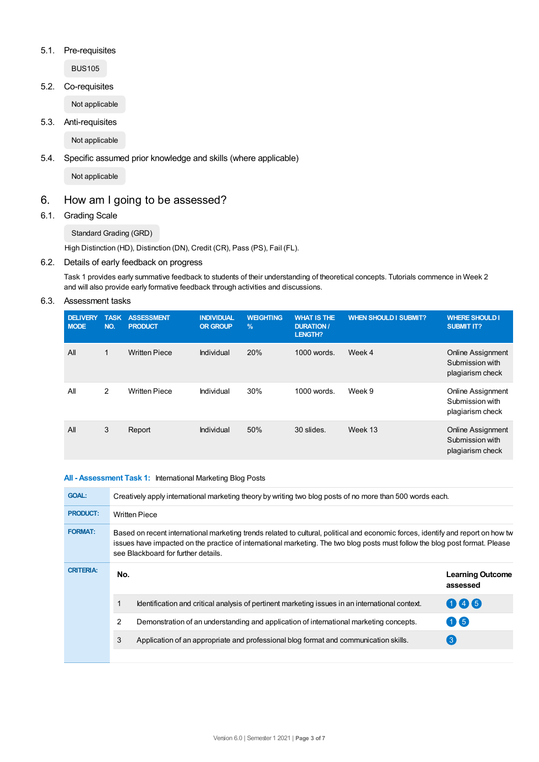## 5.1. Pre-requisites

BUS105

5.2. Co-requisites

Not applicable

5.3. Anti-requisites

Not applicable

## 5.4. Specific assumed prior knowledge and skills (where applicable)

Not applicable

# 6. How am I going to be assessed?

6.1. Grading Scale

Standard Grading (GRD)

High Distinction (HD), Distinction (DN), Credit (CR), Pass (PS), Fail (FL).

## 6.2. Details of early feedback on progress

Task 1 provides early summative feedback to students of their understanding of theoretical concepts. Tutorials commence in Week 2 and will also provide early formative feedback through activities and discussions.

6.3. Assessment tasks

| <b>DELIVERY</b><br><b>MODE</b> | <b>TASK</b><br>NO. | <b>ASSESSMENT</b><br><b>PRODUCT</b> | <b>INDIVIDUAL</b><br><b>OR GROUP</b> | <b>WEIGHTING</b><br>$\frac{9}{6}$ | <b>WHAT IS THE</b><br><b>DURATION /</b><br>LENGTH? | <b>WHEN SHOULD I SUBMIT?</b> | <b>WHERE SHOULD I</b><br><b>SUBMIT IT?</b>                      |
|--------------------------------|--------------------|-------------------------------------|--------------------------------------|-----------------------------------|----------------------------------------------------|------------------------------|-----------------------------------------------------------------|
| All                            |                    | <b>Written Piece</b>                | Individual                           | 20%                               | $1000$ words.                                      | Week 4                       | <b>Online Assignment</b><br>Submission with<br>plagiarism check |
| All                            | $\overline{2}$     | <b>Written Piece</b>                | Individual                           | 30%                               | 1000 words.                                        | Week 9                       | <b>Online Assignment</b><br>Submission with<br>plagiarism check |
| All                            | 3                  | Report                              | Individual                           | 50%                               | 30 slides.                                         | Week 13                      | <b>Online Assignment</b><br>Submission with<br>plagiarism check |

#### **All - Assessment Task 1:** International Marketing Blog Posts

| <b>GOAL:</b>     | Creatively apply international marketing theory by writing two blog posts of no more than 500 words each.                                                                                                                                                                                               |                                                                                                 |                                     |  |  |
|------------------|---------------------------------------------------------------------------------------------------------------------------------------------------------------------------------------------------------------------------------------------------------------------------------------------------------|-------------------------------------------------------------------------------------------------|-------------------------------------|--|--|
| <b>PRODUCT:</b>  | <b>Written Piece</b>                                                                                                                                                                                                                                                                                    |                                                                                                 |                                     |  |  |
| <b>FORMAT:</b>   | Based on recent international marketing trends related to cultural, political and economic forces, identify and report on how tw<br>issues have impacted on the practice of international marketing. The two blog posts must follow the blog post format. Please<br>see Blackboard for further details. |                                                                                                 |                                     |  |  |
| <b>CRITERIA:</b> | No.                                                                                                                                                                                                                                                                                                     |                                                                                                 | <b>Learning Outcome</b><br>assessed |  |  |
|                  |                                                                                                                                                                                                                                                                                                         | Identification and critical analysis of pertinent marketing issues in an international context. | 046                                 |  |  |
|                  | 2                                                                                                                                                                                                                                                                                                       | Demonstration of an understanding and application of international marketing concepts.          | 06                                  |  |  |
|                  | 3                                                                                                                                                                                                                                                                                                       | Application of an appropriate and professional blog format and communication skills.            | $\left(3\right)$                    |  |  |
|                  |                                                                                                                                                                                                                                                                                                         |                                                                                                 |                                     |  |  |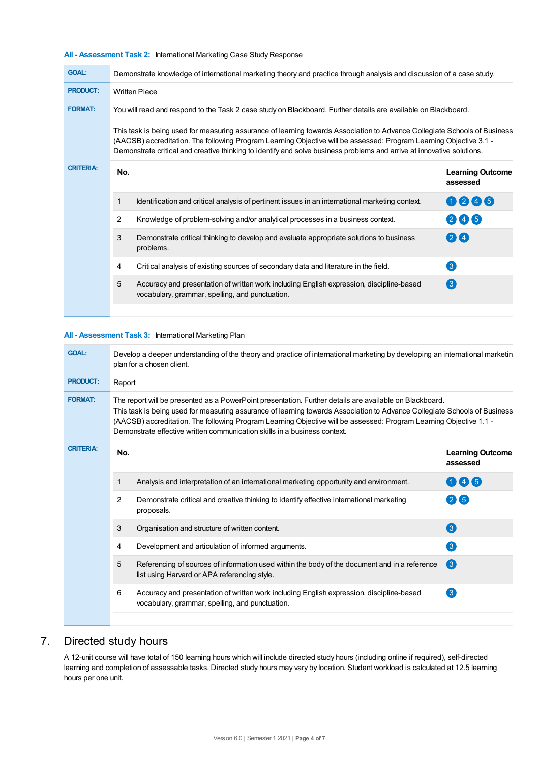| <b>GOAL:</b>     | Demonstrate knowledge of international marketing theory and practice through analysis and discussion of a case study.                                                                                                                                                                                                                                                                                                                                                                       |                                                                                                                                             |                                     |  |  |
|------------------|---------------------------------------------------------------------------------------------------------------------------------------------------------------------------------------------------------------------------------------------------------------------------------------------------------------------------------------------------------------------------------------------------------------------------------------------------------------------------------------------|---------------------------------------------------------------------------------------------------------------------------------------------|-------------------------------------|--|--|
| <b>PRODUCT:</b>  | <b>Written Piece</b>                                                                                                                                                                                                                                                                                                                                                                                                                                                                        |                                                                                                                                             |                                     |  |  |
| <b>FORMAT:</b>   | You will read and respond to the Task 2 case study on Blackboard. Further details are available on Blackboard.<br>This task is being used for measuring assurance of learning towards Association to Advance Collegiate Schools of Business<br>(AACSB) accreditation. The following Program Learning Objective will be assessed: Program Learning Objective 3.1 -<br>Demonstrate critical and creative thinking to identify and solve business problems and arrive at innovative solutions. |                                                                                                                                             |                                     |  |  |
|                  |                                                                                                                                                                                                                                                                                                                                                                                                                                                                                             |                                                                                                                                             |                                     |  |  |
| <b>CRITERIA:</b> | No.                                                                                                                                                                                                                                                                                                                                                                                                                                                                                         |                                                                                                                                             | <b>Learning Outcome</b><br>assessed |  |  |
|                  | 1                                                                                                                                                                                                                                                                                                                                                                                                                                                                                           | Identification and critical analysis of pertinent issues in an international marketing context.                                             | 0246                                |  |  |
|                  | 2                                                                                                                                                                                                                                                                                                                                                                                                                                                                                           | Knowledge of problem-solving and/or analytical processes in a business context.                                                             | 245                                 |  |  |
|                  | 3                                                                                                                                                                                                                                                                                                                                                                                                                                                                                           | Demonstrate critical thinking to develop and evaluate appropriate solutions to business<br>problems.                                        | 24                                  |  |  |
|                  | 4                                                                                                                                                                                                                                                                                                                                                                                                                                                                                           | Critical analysis of existing sources of secondary data and literature in the field.                                                        | 3                                   |  |  |
|                  | 5                                                                                                                                                                                                                                                                                                                                                                                                                                                                                           | Accuracy and presentation of written work including English expression, discipline-based<br>vocabulary, grammar, spelling, and punctuation. | $\left( 3\right)$                   |  |  |
|                  |                                                                                                                                                                                                                                                                                                                                                                                                                                                                                             |                                                                                                                                             |                                     |  |  |

#### **All - Assessment Task 3:** International Marketing Plan

| <b>GOAL:</b>     | Develop a deeper understanding of the theory and practice of international marketing by developing an international marketin<br>plan for a chosen client.                                                                                                                                                                                                                                                                               |                                                                                                                                               |                                     |  |  |  |
|------------------|-----------------------------------------------------------------------------------------------------------------------------------------------------------------------------------------------------------------------------------------------------------------------------------------------------------------------------------------------------------------------------------------------------------------------------------------|-----------------------------------------------------------------------------------------------------------------------------------------------|-------------------------------------|--|--|--|
| <b>PRODUCT:</b>  | Report                                                                                                                                                                                                                                                                                                                                                                                                                                  |                                                                                                                                               |                                     |  |  |  |
| <b>FORMAT:</b>   | The report will be presented as a PowerPoint presentation. Further details are available on Blackboard.<br>This task is being used for measuring assurance of learning towards Association to Advance Collegiate Schools of Business<br>(AACSB) accreditation. The following Program Learning Objective will be assessed: Program Learning Objective 1.1 -<br>Demonstrate effective written communication skills in a business context. |                                                                                                                                               |                                     |  |  |  |
| <b>CRITERIA:</b> | No.                                                                                                                                                                                                                                                                                                                                                                                                                                     |                                                                                                                                               | <b>Learning Outcome</b><br>assessed |  |  |  |
|                  | 1                                                                                                                                                                                                                                                                                                                                                                                                                                       | Analysis and interpretation of an international marketing opportunity and environment.                                                        | 006                                 |  |  |  |
|                  | 2                                                                                                                                                                                                                                                                                                                                                                                                                                       | Demonstrate critical and creative thinking to identify effective international marketing<br>proposals.                                        | 26                                  |  |  |  |
|                  | 3                                                                                                                                                                                                                                                                                                                                                                                                                                       | Organisation and structure of written content.                                                                                                | 3                                   |  |  |  |
|                  | 4                                                                                                                                                                                                                                                                                                                                                                                                                                       | Development and articulation of informed arguments.                                                                                           | 3                                   |  |  |  |
|                  | 5                                                                                                                                                                                                                                                                                                                                                                                                                                       | Referencing of sources of information used within the body of the document and in a reference<br>list using Harvard or APA referencing style. | 3                                   |  |  |  |
|                  | 6                                                                                                                                                                                                                                                                                                                                                                                                                                       | Accuracy and presentation of written work including English expression, discipline-based<br>vocabulary, grammar, spelling, and punctuation.   | $\left(3\right)$                    |  |  |  |
|                  |                                                                                                                                                                                                                                                                                                                                                                                                                                         |                                                                                                                                               |                                     |  |  |  |

# 7. Directed study hours

A 12-unit course will have total of 150 learning hours which will include directed study hours (including online if required), self-directed learning and completion of assessable tasks. Directed study hours may vary by location. Student workload is calculated at 12.5 learning hours per one unit.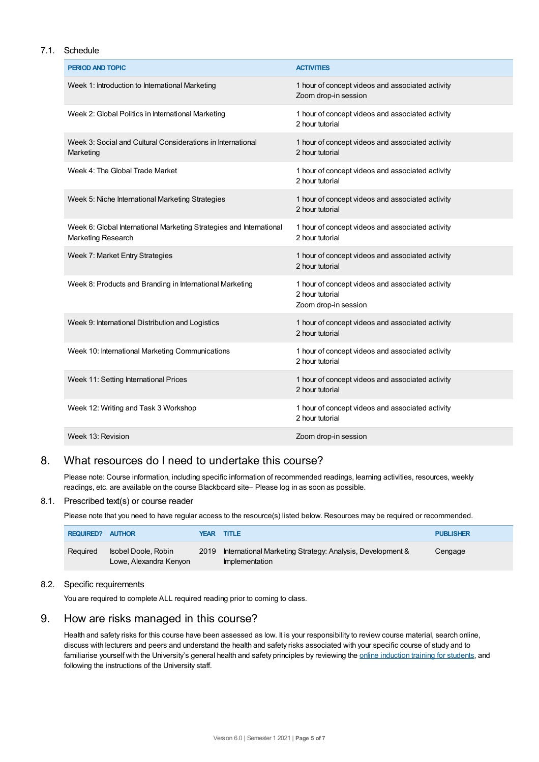#### 7.1. Schedule

| PERIOD AND TOPIC                                                                                 | <b>ACTIVITIES</b>                                                                           |
|--------------------------------------------------------------------------------------------------|---------------------------------------------------------------------------------------------|
| Week 1: Introduction to International Marketing                                                  | 1 hour of concept videos and associated activity<br>Zoom drop-in session                    |
| Week 2: Global Politics in International Marketing                                               | 1 hour of concept videos and associated activity<br>2 hour tutorial                         |
| Week 3: Social and Cultural Considerations in International<br>Marketing                         | 1 hour of concept videos and associated activity<br>2 hour tutorial                         |
| Week 4: The Global Trade Market                                                                  | 1 hour of concept videos and associated activity<br>2 hour tutorial                         |
| Week 5: Niche International Marketing Strategies                                                 | 1 hour of concept videos and associated activity<br>2 hour tutorial                         |
| Week 6: Global International Marketing Strategies and International<br><b>Marketing Research</b> | 1 hour of concept videos and associated activity<br>2 hour tutorial                         |
| Week 7: Market Entry Strategies                                                                  | 1 hour of concept videos and associated activity<br>2 hour tutorial                         |
| Week 8: Products and Branding in International Marketing                                         | 1 hour of concept videos and associated activity<br>2 hour tutorial<br>Zoom drop-in session |
| Week 9: International Distribution and Logistics                                                 | 1 hour of concept videos and associated activity<br>2 hour tutorial                         |
| Week 10: International Marketing Communications                                                  | 1 hour of concept videos and associated activity<br>2 hour tutorial                         |
| Week 11: Setting International Prices                                                            | 1 hour of concept videos and associated activity<br>2 hour tutorial                         |
| Week 12: Writing and Task 3 Workshop                                                             | 1 hour of concept videos and associated activity<br>2 hour tutorial                         |
| Week 13: Revision                                                                                | Zoom drop-in session                                                                        |

# 8. What resources do I need to undertake this course?

Please note: Course information, including specific information of recommended readings, learning activities, resources, weekly readings, etc. are available on the course Blackboard site– Please log in as soon as possible.

#### 8.1. Prescribed text(s) or course reader

Please note that you need to have regular access to the resource(s) listed below. Resources may be required or recommended.

| <b>REQUIRED?</b> | <b>AUTHOR</b>                                 |      | <b>YEAR TITLE</b>                                                           | <b>PUBLISHER</b> |
|------------------|-----------------------------------------------|------|-----------------------------------------------------------------------------|------------------|
| Reguired         | Isobel Doole, Robin<br>Lowe, Alexandra Kenyon | 2019 | International Marketing Strategy: Analysis, Development &<br>Implementation | Cengage          |

## 8.2. Specific requirements

You are required to complete ALL required reading prior to coming to class.

# 9. How are risks managed in this course?

Health and safety risks for this course have been assessed as low. It is your responsibility to review course material, search online, discuss with lecturers and peers and understand the health and safety risks associated with your specific course of study and to familiarise yourself with the University's general health and safety principles by reviewing the online [induction](https://online.usc.edu.au/webapps/blackboard/content/listContentEditable.jsp?content_id=_632657_1&course_id=_14432_1) training for students, and following the instructions of the University staff.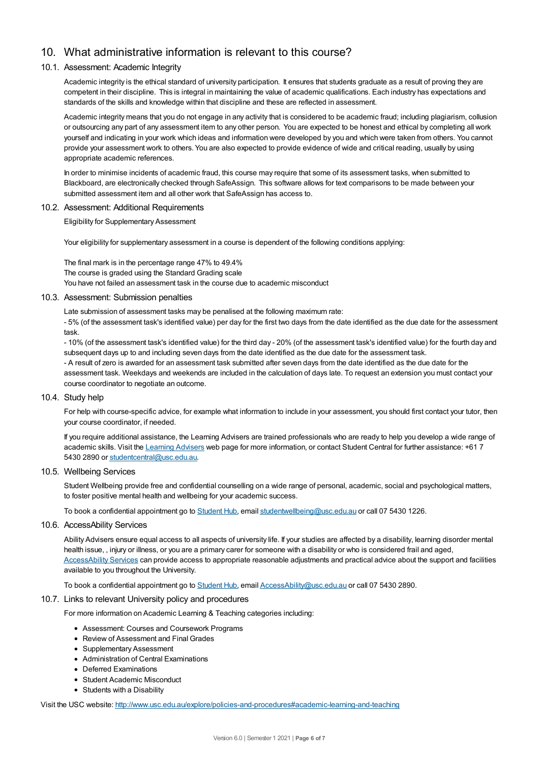# 10. What administrative information is relevant to this course?

#### 10.1. Assessment: Academic Integrity

Academic integrity is the ethical standard of university participation. It ensures that students graduate as a result of proving they are competent in their discipline. This is integral in maintaining the value of academic qualifications. Each industry has expectations and standards of the skills and knowledge within that discipline and these are reflected in assessment.

Academic integrity means that you do not engage in any activity that is considered to be academic fraud; including plagiarism, collusion or outsourcing any part of any assessment item to any other person. You are expected to be honest and ethical by completing all work yourself and indicating in your work which ideas and information were developed by you and which were taken from others. You cannot provide your assessment work to others.You are also expected to provide evidence of wide and critical reading, usually by using appropriate academic references.

In order to minimise incidents of academic fraud, this course may require that some of its assessment tasks, when submitted to Blackboard, are electronically checked through SafeAssign. This software allows for text comparisons to be made between your submitted assessment item and all other work that SafeAssign has access to.

#### 10.2. Assessment: Additional Requirements

Eligibility for Supplementary Assessment

Your eligibility for supplementary assessment in a course is dependent of the following conditions applying:

The final mark is in the percentage range 47% to 49.4% The course is graded using the Standard Grading scale You have not failed an assessment task in the course due to academic misconduct

#### 10.3. Assessment: Submission penalties

Late submission of assessment tasks may be penalised at the following maximum rate:

- 5% (of the assessment task's identified value) per day for the first two days from the date identified as the due date for the assessment task.

- 10% (of the assessment task's identified value) for the third day - 20% (of the assessment task's identified value) for the fourth day and subsequent days up to and including seven days from the date identified as the due date for the assessment task.

- A result of zero is awarded for an assessment task submitted after seven days from the date identified as the due date for the assessment task. Weekdays and weekends are included in the calculation of days late. To request an extension you must contact your course coordinator to negotiate an outcome.

#### 10.4. Study help

For help with course-specific advice, for example what information to include in your assessment, you should first contact your tutor, then your course coordinator, if needed.

If you require additional assistance, the Learning Advisers are trained professionals who are ready to help you develop a wide range of academic skills. Visit the [Learning](https://www.usc.edu.au/current-students/student-support/academic-and-study-support/learning-advisers) Advisers web page for more information, or contact Student Central for further assistance: +61 7 5430 2890 or [studentcentral@usc.edu.au](mailto:studentcentral@usc.edu.au).

#### 10.5. Wellbeing Services

Student Wellbeing provide free and confidential counselling on a wide range of personal, academic, social and psychological matters, to foster positive mental health and wellbeing for your academic success.

To book a confidential appointment go to [Student](https://studenthub.usc.edu.au/) Hub, email [studentwellbeing@usc.edu.au](mailto:studentwellbeing@usc.edu.au) or call 07 5430 1226.

#### 10.6. AccessAbility Services

Ability Advisers ensure equal access to all aspects of university life. If your studies are affected by a disability, learning disorder mental health issue, , injury or illness, or you are a primary carer for someone with a disability or who is considered frail and aged, [AccessAbility](https://www.usc.edu.au/learn/student-support/accessability-services/documentation-requirements) Services can provide access to appropriate reasonable adjustments and practical advice about the support and facilities available to you throughout the University.

To book a confidential appointment go to [Student](https://studenthub.usc.edu.au/) Hub, email [AccessAbility@usc.edu.au](mailto:AccessAbility@usc.edu.au) or call 07 5430 2890.

#### 10.7. Links to relevant University policy and procedures

For more information on Academic Learning & Teaching categories including:

- Assessment: Courses and Coursework Programs
- Review of Assessment and Final Grades
- Supplementary Assessment
- Administration of Central Examinations
- Deferred Examinations
- Student Academic Misconduct
- Students with a Disability

Visit the USC website: <http://www.usc.edu.au/explore/policies-and-procedures#academic-learning-and-teaching>